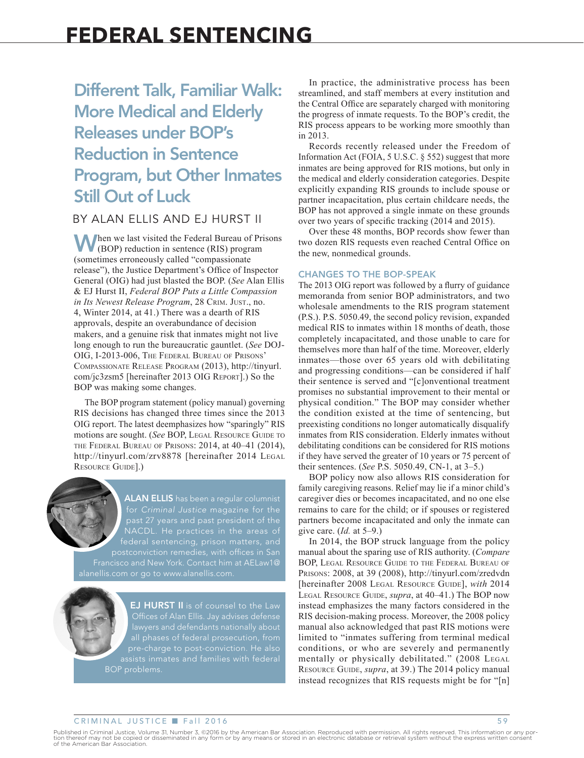# Different Talk, Familiar Walk: More Medical and Elderly Releases under BOP's Reduction in Sentence Program, but Other Inmates Still Out of Luck

# BY ALAN ELLIS AND EJ HURST II

When we last visited the Federal Bureau of Prisons (BOP) reduction in sentence (RIS) program (sometimes erroneously called "compassionate release"), the Justice Department's Office of Inspector General (OIG) had just blasted the BOP. (*See* Alan Ellis & EJ Hurst II, *Federal BOP Puts a Little Compassion in Its Newest Release Program*, 28 Crim. Just., no. 4, Winter 2014, at 41.) There was a dearth of RIS approvals, despite an overabundance of decision makers, and a genuine risk that inmates might not live long enough to run the bureaucratic gauntlet. (*See* DOJ-OIG, I-2013-006, The Federal Bureau of Prisons' Compassionate Release Program (2013), http://tinyurl. com/jc3zsm5 [hereinafter 2013 OIG Report].) So the BOP was making some changes.

The BOP program statement (policy manual) governing RIS decisions has changed three times since the 2013 OIG report. The latest deemphasizes how "sparingly" RIS motions are sought. (*See* BOP, LEGAL RESOURCE GUIDE TO the Federal Bureau of Prisons: 2014, at 40–41 (2014), http://tinyurl.com/zrv8878 [hereinafter 2014 LEGAL RESOURCE GUIDE].)



**ALAN ELLIS** has been a regular columnist for *Criminal Justice* magazine for the federal sentencing, prison matters, and

**EJ HURST II** is of counsel to the Law pre-charge to post-conviction. He also assists inmates and families with federal BOP problems.

In practice, the administrative process has been streamlined, and staff members at every institution and the Central Office are separately charged with monitoring the progress of inmate requests. To the BOP's credit, the RIS process appears to be working more smoothly than in 2013.

Records recently released under the Freedom of Information Act (FOIA, 5 U.S.C. § 552) suggest that more inmates are being approved for RIS motions, but only in the medical and elderly consideration categories. Despite explicitly expanding RIS grounds to include spouse or partner incapacitation, plus certain childcare needs, the BOP has not approved a single inmate on these grounds over two years of specific tracking (2014 and 2015).

Over these 48 months, BOP records show fewer than two dozen RIS requests even reached Central Office on the new, nonmedical grounds.

### CHANGES TO THE BOP-SPEAK

The 2013 OIG report was followed by a flurry of guidance memoranda from senior BOP administrators, and two wholesale amendments to the RIS program statement (P.S.). P.S. 5050.49, the second policy revision, expanded medical RIS to inmates within 18 months of death, those completely incapacitated, and those unable to care for themselves more than half of the time. Moreover, elderly inmates—those over 65 years old with debilitating and progressing conditions—can be considered if half their sentence is served and "[c]onventional treatment promises no substantial improvement to their mental or physical condition." The BOP may consider whether the condition existed at the time of sentencing, but preexisting conditions no longer automatically disqualify inmates from RIS consideration. Elderly inmates without debilitating conditions can be considered for RIS motions if they have served the greater of 10 years or 75 percent of their sentences. (*See* P.S. 5050.49, CN-1, at 3–5.)

BOP policy now also allows RIS consideration for family caregiving reasons. Relief may lie if a minor child's caregiver dies or becomes incapacitated, and no one else remains to care for the child; or if spouses or registered partners become incapacitated and only the inmate can give care. (*Id.* at 5–9.)

In 2014, the BOP struck language from the policy manual about the sparing use of RIS authority. (*Compare* BOP, Legal Resource Guide to the Federal Bureau of Prisons: 2008, at 39 (2008), http://tinyurl.com/zredvdn [hereinafter 2008 LEGAL RESOURCE GUIDE], *with* 2014 Legal Resource Guide, *supra*, at 40–41.) The BOP now instead emphasizes the many factors considered in the RIS decision-making process. Moreover, the 2008 policy manual also acknowledged that past RIS motions were limited to "inmates suffering from terminal medical conditions, or who are severely and permanently mentally or physically debilitated." (2008 LEGAL RESOURCE GUIDE, *supra*, at 39.) The 2014 policy manual instead recognizes that RIS requests might be for "[n]

#### CRIMINAL JUSTICE **n** Fall 2016 59

Published in Criminal Justice, Volume 31, Number 3, ©2016 by the American Bar Association. Reproduced with permission. All rights reserved. This information or any por-<br>tion thereof may not be copied or disseminated in any